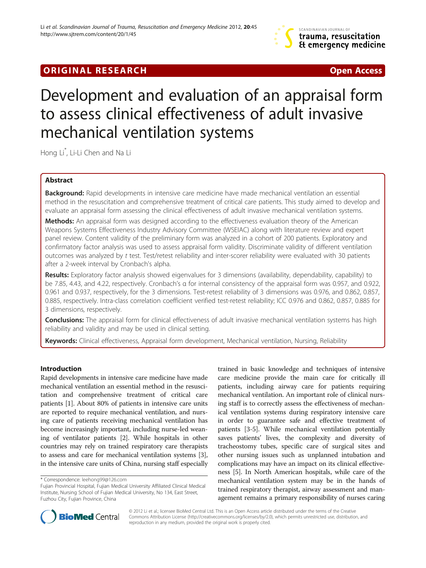## **ORIGINAL RESEARCH CONSUMING A RESEARCH CONSUMING A RESEARCH**

# Development and evaluation of an appraisal form to assess clinical effectiveness of adult invasive mechanical ventilation systems

Hong Li\* , Li-Li Chen and Na Li

## Abstract

Background: Rapid developments in intensive care medicine have made mechanical ventilation an essential method in the resuscitation and comprehensive treatment of critical care patients. This study aimed to develop and evaluate an appraisal form assessing the clinical effectiveness of adult invasive mechanical ventilation systems.

Methods: An appraisal form was designed according to the effectiveness evaluation theory of the American Weapons Systems Effectiveness Industry Advisory Committee (WSEIAC) along with literature review and expert panel review. Content validity of the preliminary form was analyzed in a cohort of 200 patients. Exploratory and confirmatory factor analysis was used to assess appraisal form validity. Discriminate validity of different ventilation outcomes was analyzed by t test. Test/retest reliability and inter-scorer reliability were evaluated with 30 patients after a 2-week interval by Cronbach's alpha.

Results: Exploratory factor analysis showed eigenvalues for 3 dimensions (availability, dependability, capability) to be 7.85, 4.43, and 4.22, respectively. Cronbach's α for internal consistency of the appraisal form was 0.957, and 0.922, 0.961 and 0.937, respectively, for the 3 dimensions. Test-retest reliability of 3 dimensions was 0.976, and 0.862, 0.857, 0.885, respectively. Intra-class correlation coefficient verified test-retest reliability; ICC 0.976 and 0.862, 0.857, 0.885 for 3 dimensions, respectively.

Conclusions: The appraisal form for clinical effectiveness of adult invasive mechanical ventilation systems has high reliability and validity and may be used in clinical setting.

Keywords: Clinical effectiveness, Appraisal form development, Mechanical ventilation, Nursing, Reliability

## Introduction

Rapid developments in intensive care medicine have made mechanical ventilation an essential method in the resuscitation and comprehensive treatment of critical care patients [\[1](#page-9-0)]. About 80% of patients in intensive care units are reported to require mechanical ventilation, and nursing care of patients receiving mechanical ventilation has become increasingly important, including nurse-led weaning of ventilator patients [\[2\]](#page-9-0). While hospitals in other countries may rely on trained respiratory care therapists to assess and care for mechanical ventilation systems [[3](#page-9-0)], in the intensive care units of China, nursing staff especially

trained in basic knowledge and techniques of intensive care medicine provide the main care for critically ill patients, including airway care for patients requiring mechanical ventilation. An important role of clinical nursing staff is to correctly assess the effectiveness of mechanical ventilation systems during respiratory intensive care in order to guarantee safe and effective treatment of patients [[3-5\]](#page-9-0). While mechanical ventilation potentially saves patients' lives, the complexity and diversity of tracheostomy tubes, specific care of surgical sites and other nursing issues such as unplanned intubation and complications may have an impact on its clinical effectiveness [[5\]](#page-9-0). In North American hospitals, while care of the mechanical ventilation system may be in the hands of trained respiratory therapist, airway assessment and management remains a primary responsibility of nurses caring



© 2012 Li et al.; licensee BioMed Central Ltd. This is an Open Access article distributed under the terms of the Creative Commons Attribution License [\(http://creativecommons.org/licenses/by/2.0\)](http://creativecommons.org/licenses/by/2.0), which permits unrestricted use, distribution, and reproduction in any medium, provided the original work is properly cited.

<sup>\*</sup> Correspondence: [leehong99@126.com](mailto:leehong99@126.com)

Fujian Provincial Hospital, Fujian Medical University Affiliated Clinical Medical Institute, Nursing School of Fujian Medical University, No 134, East Street, Fuzhou City, Fujian Province, China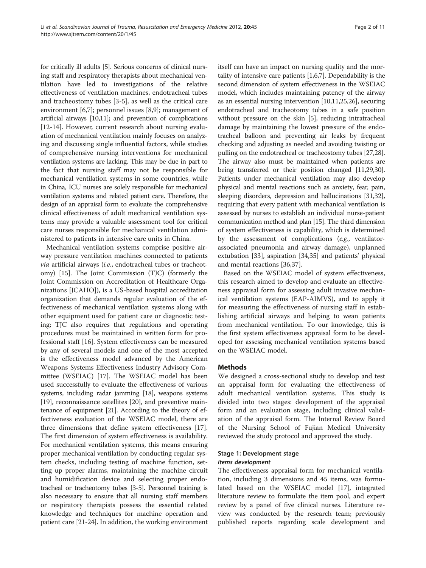for critically ill adults [\[5\]](#page-9-0). Serious concerns of clinical nursing staff and respiratory therapists about mechanical ventilation have led to investigations of the relative effectiveness of ventilation machines, endotracheal tubes and tracheostomy tubes [[3-5](#page-9-0)], as well as the critical care environment [[6,7\]](#page-9-0); personnel issues [\[8,9](#page-9-0)]; management of artificial airways [\[10,11](#page-9-0)]; and prevention of complications [[12-14](#page-9-0)]. However, current research about nursing evaluation of mechanical ventilation mainly focuses on analyzing and discussing single influential factors, while studies of comprehensive nursing interventions for mechanical ventilation systems are lacking. This may be due in part to the fact that nursing staff may not be responsible for mechanical ventilation systems in some countries, while in China, ICU nurses are solely responsible for mechanical ventilation systems and related patient care. Therefore, the design of an appraisal form to evaluate the comprehensive clinical effectiveness of adult mechanical ventilation systems may provide a valuable assessment tool for critical care nurses responsible for mechanical ventilation administered to patients in intensive care units in China.

Mechanical ventilation systems comprise positive airway pressure ventilation machines connected to patients via artificial airways (i.e., endotracheal tubes or tracheotomy) [[15](#page-9-0)]. The Joint Commission (TJC) (formerly the Joint Commission on Accreditation of Healthcare Organizations [JCAHO]), is a US-based hospital accreditation organization that demands regular evaluation of the effectiveness of mechanical ventilation systems along with other equipment used for patient care or diagnostic testing; TJC also requires that regulations and operating procedures must be maintained in written form for professional staff [[16](#page-9-0)]. System effectiveness can be measured by any of several models and one of the most accepted is the effectiveness model advanced by the American Weapons Systems Effectiveness Industry Advisory Committee (WSEIAC) [\[17\]](#page-9-0). The WSEIAC model has been used successfully to evaluate the effectiveness of various systems, including radar jamming [[18\]](#page-9-0), weapons systems [[19\]](#page-9-0), reconnaissance satellites [\[20](#page-9-0)], and preventive maintenance of equipment [[21\]](#page-9-0). According to the theory of effectiveness evaluation of the WSEIAC model, there are three dimensions that define system effectiveness [\[17](#page-9-0)]. The first dimension of system effectiveness is availability. For mechanical ventilation systems, this means ensuring proper mechanical ventilation by conducting regular system checks, including testing of machine function, setting up proper alarms, maintaining the machine circuit and humidification device and selecting proper endotracheal or tracheotomy tubes [\[3-5](#page-9-0)]. Personnel training is also necessary to ensure that all nursing staff members or respiratory therapists possess the essential related knowledge and techniques for machine operation and patient care [\[21-24](#page-9-0)]. In addition, the working environment itself can have an impact on nursing quality and the mortality of intensive care patients [\[1,6,7](#page-9-0)]. Dependability is the second dimension of system effectiveness in the WSEIAC model, which includes maintaining patency of the airway as an essential nursing intervention [\[10,11,25,26\]](#page-9-0), securing endotracheal and tracheotomy tubes in a safe position without pressure on the skin [\[5](#page-9-0)], reducing intratracheal damage by maintaining the lowest pressure of the endotracheal balloon and preventing air leaks by frequent checking and adjusting as needed and avoiding twisting or pulling on the endotracheal or tracheostomy tubes [\[27,28](#page-9-0)]. The airway also must be maintained when patients are being transferred or their position changed [\[11,29,30](#page-9-0)]. Patients under mechanical ventilation may also develop physical and mental reactions such as anxiety, fear, pain, sleeping disorders, depression and hallucinations [\[31,32](#page-9-0)], requiring that every patient with mechanical ventilation is assessed by nurses to establish an individual nurse-patient communication method and plan [\[15](#page-9-0)]. The third dimension of system effectiveness is capability, which is determined by the assessment of complications (e.g., ventilatorassociated pneumonia and airway damage), unplanned extubation [[33\]](#page-9-0), aspiration [[34,35\]](#page-10-0) and patients' physical and mental reactions [[36,37\]](#page-10-0).

Based on the WSEIAC model of system effectiveness, this research aimed to develop and evaluate an effectiveness appraisal form for assessing adult invasive mechanical ventilation systems (EAP-AIMVS), and to apply it for measuring the effectiveness of nursing staff in establishing artificial airways and helping to wean patients from mechanical ventilation. To our knowledge, this is the first system effectiveness appraisal form to be developed for assessing mechanical ventilation systems based on the WSEIAC model.

## Methods

We designed a cross-sectional study to develop and test an appraisal form for evaluating the effectiveness of adult mechanical ventilation systems. This study is divided into two stages: development of the appraisal form and an evaluation stage, including clinical validation of the appraisal form. The Internal Review Board of the Nursing School of Fujian Medical University reviewed the study protocol and approved the study.

## Stage 1: Development stage

## Items development

The effectiveness appraisal form for mechanical ventilation, including 3 dimensions and 45 items, was formulated based on the WSEIAC model [[17\]](#page-9-0), integrated literature review to formulate the item pool, and expert review by a panel of five clinical nurses. Literature review was conducted by the research team; previously published reports regarding scale development and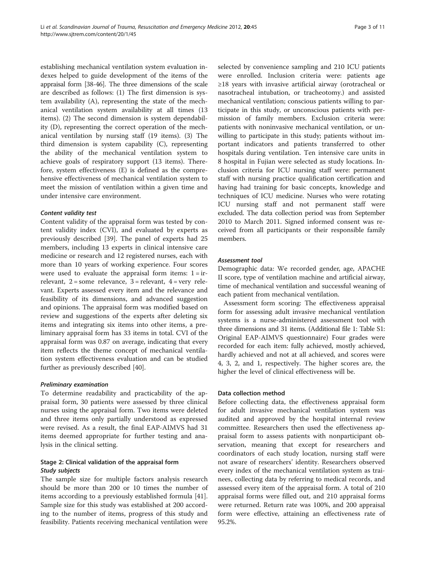establishing mechanical ventilation system evaluation indexes helped to guide development of the items of the appraisal form [\[38-46](#page-10-0)]. The three dimensions of the scale are described as follows: (1) The first dimension is system availability (A), representing the state of the mechanical ventilation system availability at all times (13 items). (2) The second dimension is system dependability (D), representing the correct operation of the mechanical ventilation by nursing staff (19 items). (3) The third dimension is system capability (C), representing the ability of the mechanical ventilation system to achieve goals of respiratory support (13 items). Therefore, system effectiveness (E) is defined as the comprehensive effectiveness of mechanical ventilation system to meet the mission of ventilation within a given time and under intensive care environment.

## Content validity test

Content validity of the appraisal form was tested by content validity index (CVI), and evaluated by experts as previously described [[39\]](#page-10-0). The panel of experts had 25 members, including 13 experts in clinical intensive care medicine or research and 12 registered nurses, each with more than 10 years of working experience. Four scores were used to evaluate the appraisal form items:  $1 = ir$ relevant,  $2 =$ some relevance,  $3 =$ relevant,  $4 =$ very relevant. Experts assessed every item and the relevance and feasibility of its dimensions, and advanced suggestion and opinions. The appraisal form was modified based on review and suggestions of the experts after deleting six items and integrating six items into other items, a preliminary appraisal form has 33 items in total. CVI of the appraisal form was 0.87 on average, indicating that every item reflects the theme concept of mechanical ventilation system effectiveness evaluation and can be studied further as previously described [[40\]](#page-10-0).

#### Preliminary examination

To determine readability and practicability of the appraisal form, 30 patients were assessed by three clinical nurses using the appraisal form. Two items were deleted and three items only partially understood as expressed were revised. As a result, the final EAP-AIMVS had 31 items deemed appropriate for further testing and analysis in the clinical setting.

## Stage 2: Clinical validation of the appraisal form Study subjects

The sample size for multiple factors analysis research should be more than 200 or 10 times the number of items according to a previously established formula [\[41](#page-10-0)]. Sample size for this study was established at 200 according to the number of items, progress of this study and feasibility. Patients receiving mechanical ventilation were selected by convenience sampling and 210 ICU patients were enrolled. Inclusion criteria were: patients age ≥18 years with invasive artificial airway (orotracheal or nasotracheal intubation, or tracheotomy.) and assisted mechanical ventilation; conscious patients willing to participate in this study, or unconscious patients with permission of family members. Exclusion criteria were: patients with noninvasive mechanical ventilation, or unwilling to participate in this study; patients without important indicators and patients transferred to other hospitals during ventilation. Ten intensive care units in 8 hospital in Fujian were selected as study locations. Inclusion criteria for ICU nursing staff were: permanent staff with nursing practice qualification certification and having had training for basic concepts, knowledge and techniques of ICU medicine. Nurses who were rotating ICU nursing staff and not permanent staff were excluded. The data collection period was from September 2010 to March 2011. Signed informed consent was received from all participants or their responsible family members.

## Assessment tool

Demographic data: We recorded gender, age, APACHE II score, type of ventilation machine and artificial airway, time of mechanical ventilation and successful weaning of each patient from mechanical ventilation.

Assessment form scoring: The effectiveness appraisal form for assessing adult invasive mechanical ventilation systems is a nurse-administered assessment tool with three dimensions and 31 items. (Additional file [1:](#page-9-0) Table S1: Original EAP-AIMVS questionnaire) Four grades were recorded for each item: fully achieved, mostly achieved, hardly achieved and not at all achieved, and scores were 4, 3, 2, and 1, respectively. The higher scores are, the higher the level of clinical effectiveness will be.

## Data collection method

Before collecting data, the effectiveness appraisal form for adult invasive mechanical ventilation system was audited and approved by the hospital internal review committee. Researchers then used the effectiveness appraisal form to assess patients with nonparticipant observation, meaning that except for researchers and coordinators of each study location, nursing staff were not aware of researchers' identity. Researchers observed every index of the mechanical ventilation system as trainees, collecting data by referring to medical records, and assessed every item of the appraisal form. A total of 210 appraisal forms were filled out, and 210 appraisal forms were returned. Return rate was 100%, and 200 appraisal form were effective, attaining an effectiveness rate of 95.2%.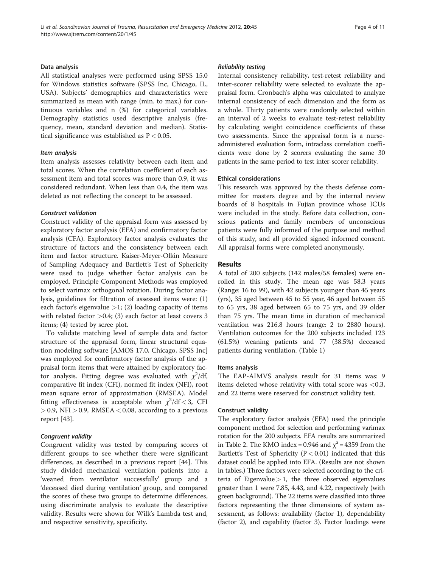#### Data analysis

All statistical analyses were performed using SPSS 15.0 for Windows statistics software (SPSS Inc, Chicago, IL, USA). Subjects' demographics and characteristics were summarized as mean with range (min. to max.) for continuous variables and n (%) for categorical variables. Demography statistics used descriptive analysis (frequency, mean, standard deviation and median). Statistical significance was established as  $P < 0.05$ .

#### Item analysis

Item analysis assesses relativity between each item and total scores. When the correlation coefficient of each assessment item and total scores was more than 0.9, it was considered redundant. When less than 0.4, the item was deleted as not reflecting the concept to be assessed.

#### Construct validation

Construct validity of the appraisal form was assessed by exploratory factor analysis (EFA) and confirmatory factor analysis (CFA). Exploratory factor analysis evaluates the structure of factors and the consistency between each item and factor structure. Kaiser-Meyer-Olkin Measure of Sampling Adequacy and Bartlett's Test of Sphericity were used to judge whether factor analysis can be employed. Principle Component Methods was employed to select varimax orthogonal rotation. During factor analysis, guidelines for filtration of assessed items were: (1) each factor's eigenvalue  $>1$ ; (2) loading capacity of items with related factor  $>0.4$ ; (3) each factor at least covers 3 items; (4) tested by scree plot.

To validate matching level of sample data and factor structure of the appraisal form, linear structural equation modeling software [AMOS 17.0, Chicago, SPSS Inc] was employed for confirmatory factor analysis of the appraisal form items that were attained by exploratory factor analysis. Fitting degree was evaluated with  $\chi^2$ /df, comparative fit index (CFI), normed fit index (NFI), root mean square error of approximation (RMSEA). Model fitting effectiveness is acceptable when  $\chi^2/\text{df} < 3$ , CFI  $>$  0.9, NFI  $>$  0.9, RMSEA  $<$  0.08, according to a previous report [\[43\]](#page-10-0).

#### Congruent validity

Congruent validity was tested by comparing scores of different groups to see whether there were significant differences, as described in a previous report [\[44](#page-10-0)]. This study divided mechanical ventilation patients into a 'weaned from ventilator successfully' group and a 'deceased died during ventilation' group, and compared the scores of these two groups to determine differences, using discriminate analysis to evaluate the descriptive validity. Results were shown for Wilk's Lambda test and, and respective sensitivity, specificity.

#### Reliability testing

Internal consistency reliability, test-retest reliability and inter-scorer reliability were selected to evaluate the appraisal form. Cronbach's alpha was calculated to analyze internal consistency of each dimension and the form as a whole. Thirty patients were randomly selected within an interval of 2 weeks to evaluate test-retest reliability by calculating weight coincidence coefficients of these two assessments. Since the appraisal form is a nurseadministered evaluation form, intraclass correlation coefficients were done by 2 scorers evaluating the same 30 patients in the same period to test inter-scorer reliability.

#### Ethical considerations

This research was approved by the thesis defense committee for masters degree and by the internal review boards of 8 hospitals in Fujian province whose ICUs were included in the study. Before data collection, conscious patients and family members of unconscious patients were fully informed of the purpose and method of this study, and all provided signed informed consent. All appraisal forms were completed anonymously.

#### Results

A total of 200 subjects (142 males/58 females) were enrolled in this study. The mean age was 58.3 years (Range: 16 to 99), with 42 subjects younger than 45 years (yrs), 35 aged between 45 to 55 year, 46 aged between 55 to 65 yrs, 38 aged between 65 to 75 yrs, and 39 older than 75 yrs. The mean time in duration of mechanical ventilation was 216.8 hours (range: 2 to 2880 hours). Ventilation outcomes for the 200 subjects included 123 (61.5%) weaning patients and 77 (38.5%) deceased patients during ventilation. (Table [1](#page-4-0))

#### Items analysis

The EAP-AIMVS analysis result for 31 items was: 9 items deleted whose relativity with total score was <0.3, and 22 items were reserved for construct validity test.

#### Construct validity

The exploratory factor analysis (EFA) used the principle component method for selection and performing varimax rotation for the 200 subjects. EFA results are summarized in Table [2](#page-5-0). The KMO index = 0.946 and  $\chi^2$  = 4359 from the Bartlett's Test of Sphericity ( $P < 0.01$ ) indicated that this dataset could be applied into EFA. (Results are not shown in tables.) Three factors were selected according to the criteria of Eigenvalue $> 1$ , the three observed eigenvalues greater than 1 were 7.85, 4.43, and 4.22, respectively (with green background). The 22 items were classified into three factors representing the three dimensions of system assessment, as follows: availability (factor 1), dependability (factor 2), and capability (factor 3). Factor loadings were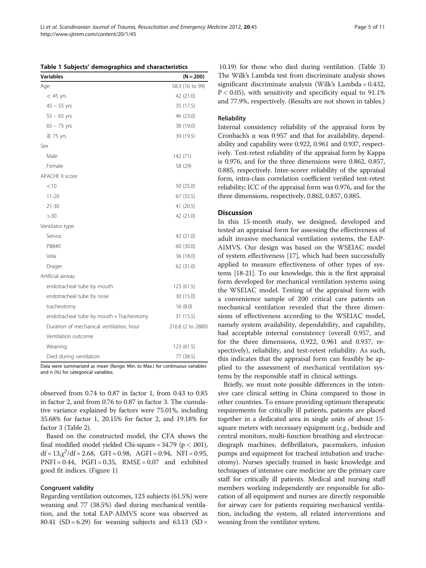Data were summarized as mean (Range: Min. to Max.) for continuous variables

observed from 0.74 to 0.87 in factor 1, from 0.43 to 0.85 in factor 2, and from 0.76 to 0.87 in factor 3. The cumulative variance explained by factors were 75.01%, including 35.68% for factor 1, 20.15% for factor 2, and 19.18% for factor 3 (Table [2](#page-5-0)).

Based on the constructed model, the CFA shows the final modified model yielded Chi-square =  $34.79$  ( $p < .001$ ),  $df = 13<sub>1</sub> \chi^2 / df = 2.68$ , GFI = 0.98, AGFI = 0.94, NFI = 0.95,  $PNFI = 0.44$ ,  $PGFI = 0.35$ ,  $RMSE = 0.07$  and exhibited good fit indices. (Figure [1\)](#page-6-0)

#### Congruent validity

Regarding ventilation outcomes, 123 subjects (61.5%) were weaning and 77 (38.5%) died during mechanical ventilation, and the total EAP-AIMVS score was observed as 80.41 (SD = 6.29) for weaning subjects and 63.13 (SD =

10.19) for those who died during ventilation. (Table [3](#page-7-0)) The Wilk's Lambda test from discriminate analysis shows significant discriminate analysis (Wilk's Lambda = 0.432,  $P < 0.05$ ), with sensitivity and specificity equal to 91.1% and 77.9%, respectively. (Results are not shown in tables.)

#### **Reliability**

Internal consistency reliability of the appraisal form by Cronbach's α was 0.957 and that for availability, dependability and capability were 0.922, 0.961 and 0.937, respectively. Test-retest reliability of the appraisal form by Kappa is 0.976, and for the three dimensions were 0.862, 0.857, 0.885, respectively. Inter-scorer reliability of the appraisal form, intra-class correlation coefficient verified test-retest reliability; ICC of the appraisal form was 0.976, and for the three dimensions, respectively, 0.862, 0.857, 0.885.

#### **Discussion**

In this 15-month study, we designed, developed and tested an appraisal form for assessing the effectiveness of adult invasive mechanical ventilation systems, the EAP-AIMVS. Our design was based on the WSEIAC model of system effectiveness [\[17](#page-9-0)], which had been successfully applied to measure effectiveness of other types of systems [\[18-21\]](#page-9-0). To our knowledge, this is the first appraisal form developed for mechanical ventilation systems using the WSEIAC model. Testing of the appraisal form with a convenience sample of 200 critical care patients on mechanical ventilation revealed that the three dimensions of effectiveness according to the WSEIAC model, namely system availability, dependability, and capability, had acceptable internal consistency (overall 0.957, and for the three dimensions, 0.922, 0.961 and 0.937, respectively), reliability, and test-retest reliability. As such, this indicates that the appraisal form can feasibly be applied to the assessment of mechanical ventilation systems by the responsible staff in clinical settings.

Briefly, we must note possible differences in the intensive care clinical setting in China compared to those in other countries. To ensure providing optimum therapeutic requirements for critically ill patients, patients are placed together in a dedicated area in single units of about 15 square meters with necessary equipment (e.g., bedside and central monitors, multi-function breathing and electrocardiograph machines, defibrillators, pacemakers, infusion pumps and equipment for tracheal intubation and tracheotomy). Nurses specially trained in basic knowledge and techniques of intensive care medicine are the primary care staff for critically ill patients. Medical and nursing staff members working independently are responsible for allocation of all equipment and nurses are directly responsible for airway care for patients requiring mechanical ventilation, including the system, all related interventions and weaning from the ventilator system.

<span id="page-4-0"></span>Li et al. Scandinavian Journal of Trauma, Resuscitation and Emergency Medicine 2012, 20:45 http://www.sjtrem.com/content/20/1/45

|           | Table 1 Subjects' demographics and characteristics |             |
|-----------|----------------------------------------------------|-------------|
| Variables |                                                    | $(N = 200)$ |

Age 58.3 (16 to 99)

| $<$ 45 yrs                               | 42 (21.0)         |
|------------------------------------------|-------------------|
| $45 - 55$ yrs                            | 35 (17.5)         |
| $55 - 65$ yrs                            | 46 (23.0)         |
| $65 - 75$ yrs                            | 38 (19.0)         |
| $\geq$ 75 yrs                            | 39 (19.5)         |
| Sex                                      |                   |
| Male                                     | 142 (71)          |
| Female                                   | 58 (29)           |
| <b>APACHE II score</b>                   |                   |
| < 10                                     | 50 (25.0)         |
| $11 - 20$                                | 67 (33.5)         |
| $21 - 30$                                | 41 (20.5)         |
| >30                                      | 42 (21.0)         |
| Ventilator type                          |                   |
| Servos                                   | 42 (21.0)         |
| PB840                                    | 60 (30.0)         |
| Vela                                     | 36 (18.0)         |
| Drager                                   | 62 (31.0)         |
| Artificial airway                        |                   |
| endotracheal tube by mouth               | 123 (61.5)        |
| endotracheal tube by nose                | 30 (15.0)         |
| tracheotomy                              | 16(8.0)           |
| endotracheal tube by mouth + Tracheotomy | 31 (15.5)         |
| Duration of mechanical ventilation, hour | 216.8 (2 to 2880) |
| Ventilation outcome                      |                   |
| Weaning                                  | 123 (61.5)        |
| Died during ventilation                  | 77 (38.5)         |
|                                          |                   |

and n (%) for categorical variables.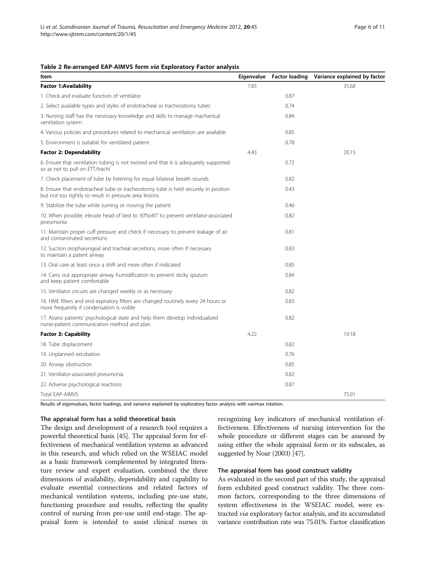#### <span id="page-5-0"></span>Table 2 Re-arranged EAP-AIMVS form via Exploratory Factor analysis

| Item                                                                                                                                         | Eigenvalue | <b>Factor loading</b> | Variance explained by factor |
|----------------------------------------------------------------------------------------------------------------------------------------------|------------|-----------------------|------------------------------|
| <b>Factor 1:Availability</b>                                                                                                                 | 7.85       |                       | 35.68                        |
| 1. Check and evaluate function of ventilator                                                                                                 |            | 0.87                  |                              |
| 2. Select available types and styles of endotracheal or tracheostomy tubes                                                                   |            | 0.74                  |                              |
| 3. Nursing staff has the necessary knowledge and skills to manage machanical<br>ventilation system                                           |            | 0.84                  |                              |
| 4. Various policies and procedures related to mechanical ventilation are available                                                           |            | 0.85                  |                              |
| 5. Environment is suitable for ventilated patient                                                                                            |            | 0.78                  |                              |
| <b>Factor 2: Dependability</b>                                                                                                               | 4.43       |                       | 20.15                        |
| 6. Ensure that ventilation tubing is not twisted and that it is adequately supported<br>so as not to pull on ETT/trachi                      |            | 0.72                  |                              |
| 7. Check placement of tube by listening for equal bilateral breath sounds                                                                    |            | 0.82                  |                              |
| 8. Ensure that endotracheal tube or tracheostomy tube is held securely in position<br>but not too tightly to result in pressure area lesions |            | 0.43                  |                              |
| 9. Stabilize the tube while turning or moving the patient                                                                                    |            | 0.46                  |                              |
| 10. When possible, elevate head of bed to 30°to45° to prevent ventilator-associated<br>pneumonia                                             |            | 0.82                  |                              |
| 11. Maintain proper cuff pressure and check if necessary to prevent leakage of air<br>and contaminated secretions                            |            | 0.81                  |                              |
| 12. Suction oropharyngeal and tracheal secretions, more often if necessary<br>to maintain a patent airway                                    |            | 0.83                  |                              |
| 13. Oral care at least once a shift and more often if indicated                                                                              |            | 0.85                  |                              |
| 14. Carry out appropriate airway humidification to prevent sticky sputum<br>and keep patient comfortable                                     |            | 0.84                  |                              |
| 15. Ventilator circuits are changed weekly or as necessary                                                                                   |            | 0.82                  |                              |
| 16. HME filters and end expiratory filters are changed routinely every 24 hours or<br>more frequently if condensation is visible             |            | 0.83                  |                              |
| 17. Assess patients' psychological state and help them develop individualized<br>nurse-patient communication method and plan                 |            | 0.82                  |                              |
| <b>Factor 3: Capability</b>                                                                                                                  | 4.22       |                       | 19.18                        |
| 18. Tube displacement                                                                                                                        |            | 0.82                  |                              |
| 19. Unplanned extubation                                                                                                                     |            | 0.76                  |                              |
| 20. Airway obstruction                                                                                                                       |            | 0.85                  |                              |
| 21. Ventilator-associated pneumonia                                                                                                          |            | 0.82                  |                              |
| 22. Adverse psychological reactions                                                                                                          |            | 0.87                  |                              |
| <b>Total EAP-AIMVS</b>                                                                                                                       |            |                       | 75.01                        |

Results of eigenvalues, factor loadings, and variance explained by exploratory factor analysis with varimax rotation.

#### The appraisal form has a solid theoretical basis

The design and development of a research tool requires a powerful theoretical basis [\[45\]](#page-10-0). The appraisal form for effectiveness of mechanical ventilation systems as advanced in this research, and which relied on the WSEIAC model as a basic framework complemented by integrated literature review and expert evaluation, combined the three dimensions of availability, dependability and capability to evaluate essential connections and related factors of mechanical ventilation systems, including pre-use state, functioning procedure and results, reflecting the quality control of nursing from pre-use until end-stage. The appraisal form is intended to assist clinical nurses in

recognizing key indicators of mechanical ventilation effectiveness. Effectiveness of nursing intervention for the whole procedure or different stages can be assessed by using either the whole appraisal form or its subscales, as suggested by Noar (2003) [\[47\]](#page-10-0).

#### The appraisal form has good construct validity

As evaluated in the second part of this study, the appraisal form exhibited good construct validity. The three common factors, corresponding to the three dimensions of system effectiveness in the WSEIAC model, were extracted via exploratory factor analysis, and its accumulated variance contribution rate was 75.01%. Factor classification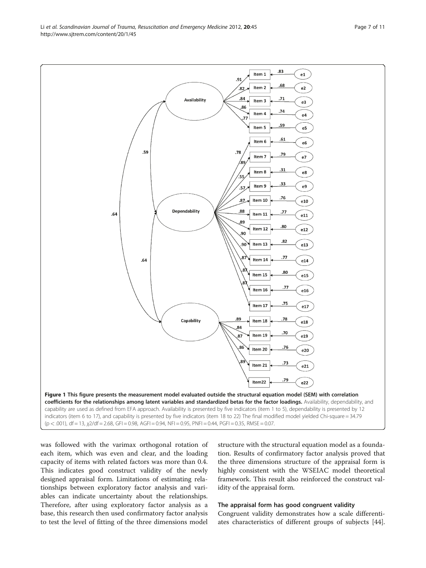was followed with the varimax orthogonal rotation of each item, which was even and clear, and the loading capacity of items with related factors was more than 0.4. This indicates good construct validity of the newly designed appraisal form. Limitations of estimating relationships between exploratory factor analysis and variables can indicate uncertainty about the relationships. Therefore, after using exploratory factor analysis as a base, this research then used confirmatory factor analysis to test the level of fitting of the three dimensions model

structure with the structural equation model as a foundation. Results of confirmatory factor analysis proved that the three dimensions structure of the appraisal form is highly consistent with the WSEIAC model theoretical framework. This result also reinforced the construct validity of the appraisal form.

#### The appraisal form has good congruent validity

Congruent validity demonstrates how a scale differentiates characteristics of different groups of subjects [\[44](#page-10-0)].

<span id="page-6-0"></span>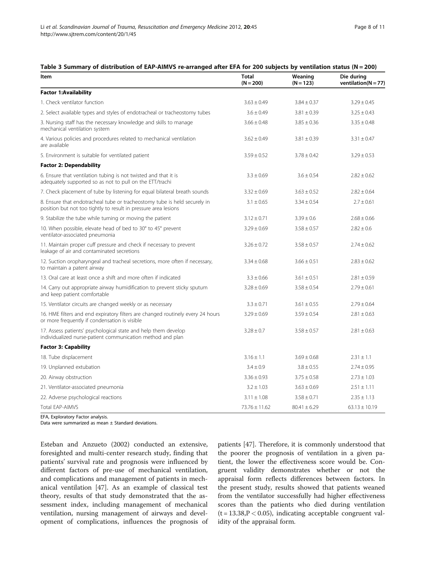#### <span id="page-7-0"></span>Table 3 Summary of distribution of EAP-AIMVS re-arranged after EFA for 200 subjects by ventilation status (N = 200)

| Item                                                                                                                                         | <b>Total</b><br>$(N = 200)$ | Weaning<br>$(N = 123)$ | Die during<br>ventilation( $N = 77$ ) |
|----------------------------------------------------------------------------------------------------------------------------------------------|-----------------------------|------------------------|---------------------------------------|
| <b>Factor 1:Availability</b>                                                                                                                 |                             |                        |                                       |
| 1. Check ventilator function                                                                                                                 | $3.63 \pm 0.49$             | $3.84 \pm 0.37$        | $3.29 \pm 0.45$                       |
| 2. Select available types and styles of endotracheal or tracheostomy tubes                                                                   | $3.6 \pm 0.49$              | $3.81 \pm 0.39$        | $3.25 \pm 0.43$                       |
| 3. Nursing staff has the necessary knowledge and skills to manage<br>mechanical ventilation system                                           | $3.66 \pm 0.48$             | $3.85 \pm 0.36$        | $3.35 \pm 0.48$                       |
| 4. Various policies and procedures related to mechanical ventilation<br>are available                                                        | $3.62 \pm 0.49$             | $3.81 \pm 0.39$        | $3.31 \pm 0.47$                       |
| 5. Environment is suitable for ventilated patient                                                                                            | $3.59 \pm 0.52$             | $3.78 + 0.42$          | $3.29 \pm 0.53$                       |
| <b>Factor 2: Dependability</b>                                                                                                               |                             |                        |                                       |
| 6. Ensure that ventilation tubing is not twisted and that it is<br>adequately supported so as not to pull on the ETT/trachi                  | $3.3 + 0.69$                | $3.6 + 0.54$           | $2.82 \pm 0.62$                       |
| 7. Check placement of tube by listening for equal bilateral breath sounds                                                                    | $3.32 \pm 0.69$             | $3.63 \pm 0.52$        | $2.82 \pm 0.64$                       |
| 8. Ensure that endotracheal tube or tracheostomy tube is held securely in<br>position but not too tightly to result in pressure area lesions | $3.1 \pm 0.65$              | $3.34 \pm 0.54$        | $2.7 \pm 0.61$                        |
| 9. Stabilize the tube while turning or moving the patient                                                                                    | $3.12 \pm 0.71$             | $3.39 \pm 0.6$         | $2.68 \pm 0.66$                       |
| 10. When possible, elevate head of bed to 30° to 45° prevent<br>ventilator-associated pneumonia                                              | $3.29 \pm 0.69$             | $3.58 \pm 0.57$        | $2.82 \pm 0.6$                        |
| 11. Maintain proper cuff pressure and check if necessary to prevent<br>leakage of air and contaminated secretions                            | $3.26 \pm 0.72$             | $3.58 \pm 0.57$        | $2.74 \pm 0.62$                       |
| 12. Suction oropharyngeal and tracheal secretions, more often if necessary,<br>to maintain a patent airway                                   | $3.34 \pm 0.68$             | $3.66 \pm 0.51$        | $2.83 \pm 0.62$                       |
| 13. Oral care at least once a shift and more often if indicated                                                                              | $3.3 \pm 0.66$              | $3.61 \pm 0.51$        | $2.81 \pm 0.59$                       |
| 14. Carry out appropriate airway humidification to prevent sticky sputum<br>and keep patient comfortable                                     | $3.28 \pm 0.69$             | $3.58 \pm 0.54$        | $2.79 \pm 0.61$                       |
| 15. Ventilator circuits are changed weekly or as necessary                                                                                   | $3.3 \pm 0.71$              | $3.61 \pm 0.55$        | $2.79 \pm 0.64$                       |
| 16. HME filters and end expiratory filters are changed routinely every 24 hours<br>or more frequently if condensation is visible             | $3.29 \pm 0.69$             | $3.59 \pm 0.54$        | $2.81 \pm 0.63$                       |
| 17. Assess patients' psychological state and help them develop<br>individualized nurse-patient communication method and plan                 | $3.28 \pm 0.7$              | $3.58 \pm 0.57$        | $2.81 \pm 0.63$                       |
| <b>Factor 3: Capability</b>                                                                                                                  |                             |                        |                                       |
| 18. Tube displacement                                                                                                                        | $3.16 \pm 1.1$              | $3.69 \pm 0.68$        | $2.31 \pm 1.1$                        |
| 19. Unplanned extubation                                                                                                                     | $3.4 \pm 0.9$               | $3.8 \pm 0.55$         | $2.74 \pm 0.95$                       |
| 20. Airway obstruction                                                                                                                       | $3.36 \pm 0.93$             | $3.75 \pm 0.58$        | $2.73 \pm 1.03$                       |
| 21. Ventilator-associated pneumonia                                                                                                          | $3.2 \pm 1.03$              | $3.63 \pm 0.69$        | $2.51 \pm 1.11$                       |
| 22. Adverse psychological reactions                                                                                                          | $3.11 \pm 1.08$             | $3.58 \pm 0.71$        | $2.35 \pm 1.13$                       |
| Total EAP-AIMVS                                                                                                                              | $73.76 \pm 11.62$           | $80.41 + 6.29$         | $63.13 \pm 10.19$                     |

EFA, Exploratory Factor analysis.

Data were summarized as mean ± Standard deviations.

Esteban and Anzueto (2002) conducted an extensive, foresighted and multi-center research study, finding that patients' survival rate and prognosis were influenced by different factors of pre-use of mechanical ventilation, and complications and management of patients in mechanical ventilation [\[47](#page-10-0)]. As an example of classical test theory, results of that study demonstrated that the assessment index, including management of mechanical ventilation, nursing management of airways and development of complications, influences the prognosis of patients [\[47](#page-10-0)]. Therefore, it is commonly understood that the poorer the prognosis of ventilation in a given patient, the lower the effectiveness score would be. Congruent validity demonstrates whether or not the appraisal form reflects differences between factors. In the present study, results showed that patients weaned from the ventilator successfully had higher effectiveness scores than the patients who died during ventilation  $(t = 13.38, P < 0.05)$ , indicating acceptable congruent validity of the appraisal form.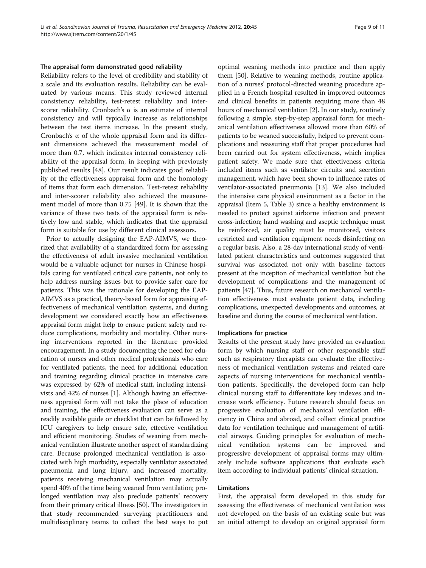#### The appraisal form demonstrated good reliability

Reliability refers to the level of credibility and stability of a scale and its evaluation results. Reliability can be evaluated by various means. This study reviewed internal consistency reliability, test-retest reliability and interscorer reliability. Cronbach's  $\alpha$  is an estimate of internal consistency and will typically increase as relationships between the test items increase. In the present study, Cronbach's α of the whole appraisal form and its different dimensions achieved the measurement model of more than 0.7, which indicates internal consistency reliability of the appraisal form, in keeping with previously published results [\[48](#page-10-0)]. Our result indicates good reliability of the effectiveness appraisal form and the homology of items that form each dimension. Test-retest reliability and inter-scorer reliability also achieved the measurement model of more than 0.75 [[49\]](#page-10-0). It is shown that the variance of these two tests of the appraisal form is relatively low and stable, which indicates that the appraisal form is suitable for use by different clinical assessors.

Prior to actually designing the EAP-AIMVS, we theorized that availability of a standardized form for assessing the effectiveness of adult invasive mechanical ventilation would be a valuable adjunct for nurses in Chinese hospitals caring for ventilated critical care patients, not only to help address nursing issues but to provide safer care for patients. This was the rationale for developing the EAP-AIMVS as a practical, theory-based form for appraising effectiveness of mechanical ventilation systems, and during development we considered exactly how an effectiveness appraisal form might help to ensure patient safety and reduce complications, morbidity and mortality. Other nursing interventions reported in the literature provided encouragement. In a study documenting the need for education of nurses and other medical professionals who care for ventilated patients, the need for additional education and training regarding clinical practice in intensive care was expressed by 62% of medical staff, including intensivists and 42% of nurses [[1\]](#page-9-0). Although having an effectiveness appraisal form will not take the place of education and training, the effectiveness evaluation can serve as a readily available guide or checklist that can be followed by ICU caregivers to help ensure safe, effective ventilation and efficient monitoring. Studies of weaning from mechanical ventilation illustrate another aspect of standardizing care. Because prolonged mechanical ventilation is associated with high morbidity, especially ventilator associated pneumonia and lung injury, and increased mortality, patients receiving mechanical ventilation may actually spend 40% of the time being weaned from ventilation; prolonged ventilation may also preclude patients' recovery from their primary critical illness [\[50\]](#page-10-0). The investigators in that study recommended surveying practitioners and multidisciplinary teams to collect the best ways to put

optimal weaning methods into practice and then apply them [\[50\]](#page-10-0). Relative to weaning methods, routine application of a nurses' protocol-directed weaning procedure applied in a French hospital resulted in improved outcomes and clinical benefits in patients requiring more than 48 hours of mechanical ventilation [\[2](#page-9-0)]. In our study, routinely following a simple, step-by-step appraisal form for mechanical ventilation effectiveness allowed more than 60% of patients to be weaned successfully, helped to prevent complications and reassuring staff that proper procedures had been carried out for system effectiveness, which implies patient safety. We made sure that effectiveness criteria included items such as ventilator circuits and secretion management, which have been shown to influence rates of ventilator-associated pneumonia [[13](#page-9-0)]. We also included the intensive care physical environment as a factor in the appraisal (Item 5, Table [3\)](#page-7-0) since a healthy environment is needed to protect against airborne infection and prevent cross-infection; hand washing and aseptic technique must be reinforced, air quality must be monitored, visitors restricted and ventilation equipment needs disinfecting on a regular basis. Also, a 28-day international study of ventilated patient characteristics and outcomes suggested that survival was associated not only with baseline factors present at the inception of mechanical ventilation but the development of complications and the management of patients [\[47\]](#page-10-0). Thus, future research on mechanical ventilation effectiveness must evaluate patient data, including complications, unexpected developments and outcomes, at baseline and during the course of mechanical ventilation.

#### Implications for practice

Results of the present study have provided an evaluation form by which nursing staff or other responsible staff such as respiratory therapists can evaluate the effectiveness of mechanical ventilation systems and related care aspects of nursing interventions for mechanical ventilation patients. Specifically, the developed form can help clinical nursing staff to differentiate key indexes and increase work efficiency. Future research should focus on progressive evaluation of mechanical ventilation efficiency in China and abroad, and collect clinical practice data for ventilation technique and management of artificial airways. Guiding principles for evaluation of mechnical ventilation systems can be improved and progressive development of appraisal forms may ultimately include software applications that evaluate each item according to individual patients' clinical situation.

#### Limitations

First, the appraisal form developed in this study for assessing the effectiveness of mechanical ventilation was not developed on the basis of an existing scale but was an initial attempt to develop an original appraisal form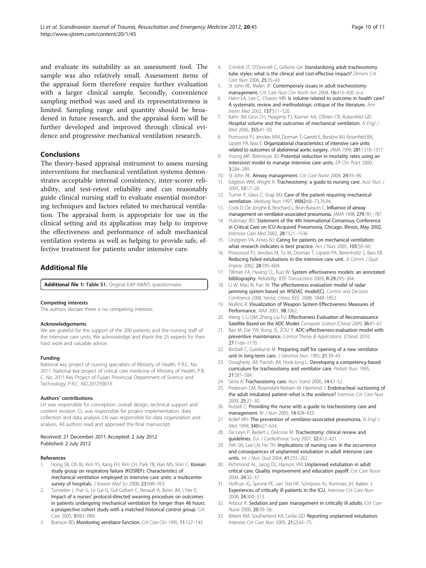<span id="page-9-0"></span>and evaluate its suitability as an assessment tool. The sample was also relatively small. Assessment items of the appraisal form therefore require further evaluation with a larger clinical sample. Secondly, convenience sampling method was used and its representativeness is limited. Sampling range and quantity should be broadened in future research, and the appraisal form will be further developed and improved through clinical evidence and progressive mechanical ventilation research.

#### Conclusions

The theory-based appraisal instrument to assess nursing interventions for mechanical ventilation systems demonstrates acceptable internal consistency, inter-scorer reliability, and test-retest reliability and can reasonably guide clinical nursing staff to evaluate essential monitoring techniques and factors related to mechanical ventilation. The appraisal form is appropriate for use in the clinical setting and its application may help to improve the effectiveness and performance of adult mechanical ventilation systems as well as helping to provide safe, effective treatment for patients under intensive care.

### Additional file

[Additional file 1:](http://www.biomedcentral.com/content/supplementary/1757-7241-20-45-S1.doc) Table S1. Original EAP-AIMVS questionnaire.

#### Competing interests

The authors declare there is no competing interests.

#### Acknowledgements

We are grateful for the support of the 200 patients and the nursing staff of the intensive care units. We acknowledge and thank the 25 experts for their hard work and valuable advice.

#### Funding

National key project of nursing specialists of Ministry of Health, P.R.C. No. 2011. National key project of critical care medicine of Ministry of Health, P.R. C. No. 2011.Key Project of Fujian Provincial Department of Science and Technology, P.R.C. NO.2012Y0013.

#### Authors' contributions

LH was responsible for conception, overall design, technical support and content revision. CL was responsible for project implementation, data collection and data analysis. LN was responsible for data organization and analysis. All authors read and approved the final manuscript.

#### Received: 21 December 2011 Accepted: 2 July 2012 Published: 2 July 2012

#### References

- Hong SB, Oh BJ, Kim YS, Kang EH, Kim CH, Park YB, Han MS, Shin C: Korean study group on respiratory failure (KOSREF): Characteristics of mechanical ventilation employed in intensive care units: a multicenter survey of hospitals. J Korean Med Sci 2008, 23:948-953.
- 2. Tonnelier J, Prat G, Le Gal G, Gut-Gobert C, Renault A, Boles JM, L'Her E: Impact of a nurses' protocol-directed weaning procedure on outcomes in patients undergoing mechanical ventilation for longer than 48 hours: a prospective cohort study with a matched historical control group. Crit Care 2005, 9:R83–R89.
- Branson RD: Monitoring ventilator function. Crit Care Clin 1995, 11:127-143.
- 4. Crimlisk JT, O'Donnell C, Grillone GA: Standardizing adult tracheostomy tube styles: what is the clinical and cost-effective impact? Dimens Crit Care Nurs 2006, 25:35–43.
- 5. St John RE, Malen JF: Contemporary issues in adult tracheostomy management. Crit Care Nurs Clin North Am 2004, 16:413-430. ix-x.
- 6. Halm EA, Lee C, Chassin MR: Is volume related to outcome in health care? A systematic review and methodologic critique of the literature. Ann Intern Med 2002, 137:511–520.
- 7. Kahn JM, Goss CH, Heagerty PJ, Kramer AA, O'Brien CR, Rubenfeld GD: Hospital volume and the outcomes of mechanical ventilation. N Engl J Med 2006, 355:41–50.
- 8. Pronovost PJ, Jenckes MW, Dorman T, Garrett E, Breslow MJ, Rosenfeld BA, Lipsett PA, Bass E: Organizational characteristics of intensive care units related to outcomes of abdominal aortic surgery. JAMA 1999, 281:1310–1317.
- 9. Young MP, Birkmeyer JD: Potential reduction in mortality rates using an intensivist model to manage intensive care units. Eff Clin Pract 2000, 3:284–289.
- 10. St John RE: Airway management. Crit Care Nurse 2004, 24:93-96.
- 11. Edgtton WM, Wright K: Tracheostomy: a guide to nursing care. Aust Nurs J 2005, 13:17–20.
- 12. Turner P, Glass C, Grap MJ: Care of the patient requiring mechanical ventilation. Medsurg Nurs 1997, V6N2:68–73,76,94.
- 13. Cook D, De Jonghe B, Brochard L, Brun-Buisson C: Influence of airway management on ventilator-associated pneumonia. JAMA 1998, 279:781–787.
- 14. Hubmayr RD: Statement of the 4th International Consensus Conference in Critical Care on ICU-Acquired Pneumonia, Chicago. Illinois, May 2002. Intensive Care Med 2002, 28:1521–1536.
- 15. Lindgren VA, Ames NJ: Caring for patients on mechanical ventilation: what research indicates is best practice. Am J Nurs 2005, 105:50-60.
- 16. Provonost PJ, Jenckes M, To M, Dorman T, Lipsett PA, Berenholtz S, Bass EB: Reducing failed extubations in the intensive care unit. Jt Comm J Qual Improv 2002, 28:595–604.
- 17. Tillman FA, Hwang CL, Kuo W: System effectiveness models: an annotated bibliography. Reliability: IEEE Transactions 2009, R-29:295–304.
- 18. Li W, Mao N, Pan W: The effectiveness evaluation model of radar jamming system based on WSEIAC model[C]. Control and Decision Conference 2008, Yantai, China: IEEE. 2008, 1848–1852.
- 19. Mullins R: Visualization of Weapon System Effectiveness Measures of Performance. AIAA 2001, 98:1062.
- 20. Meng J, Li QM, Zhang Liu FU: Effectiveness Evaluation of Reconnaissance Satellite Based on the ADC Model. Computer Science (China) 2009, 36:41–67.
- 21. Bao M, Dai YW, Kong JS, ZOU Y: ADC-effectiveness-evaluation model with preventive maintenance. Control Theory & Applications. (China) 2010, 27:1166–1170.
- 22. Birdsall C, Gutekunst M: Preparing staff for opening of a new ventilator unit in long-term care. J Gerontol Nurs 1995, 21:39–43.
- 23. Dougherty JM, Parrish JM, Hock-long L: Developing a competency-based curriculum for tracheostomy and ventilator care. Pediatr Nurs 1995, 21:581–584.
- 24. Serra A: Tracheostomy care. Nurs Stand 2000, 14:42-52.
- 25. Pedersen CM, Rosendahl-Nielsen M, Hjermind J: Endotracheal suctioning of the adult intubated patient-what is the evidence? Intensive Crit Care Nurs 2009, 25:21–30.
- 26. Russell C: Providing the nurse with a guide to tracheostomy care and management. Br J Nurs 2005, 14:428–433.
- 27. Kollef MH: The prevention of ventilator-associated pneumonia. N Engl J Med 1999, 340:627–634.
- 28. De Leyn P, Bedert L, Delcroix M: Tracheotomy: clinical review and guidelines. Eur J Cardiothorac Surg 2007, 32:412–421.
- 29. Yeh SH, Lee LN, Ho TH: Implications of nursing care in the occurrence and consequences of unplanned extubation in adult intensive care units. Int J Nurs Stud 2004, 41:255–262.
- 30. Richmond AL, Jarog DL, Hanson VM: Unplanned extubation in adult critical care. Quality improvement and education payoff. Crit Care Nurse 2004, 24:32–37.
- 31. Hofhuis JG, Spronk PE, van Stel HF, Schrijvers AJ, Rommes JH, Bakker J: Experiences of critically ill patients in the ICU. Intensive Crit Care Nurs 2008, 24:300–313.
- 32. Arbour R: Sedation and pain management in critically ill adults. Crit Care Nurse 2000, 20:39–56.
- 33. Birkett KM, Southerland KA, Leslie GD: Reporting unplanned extubation. Intensive Crit Care Nurs 2005, 21(2):65–75.